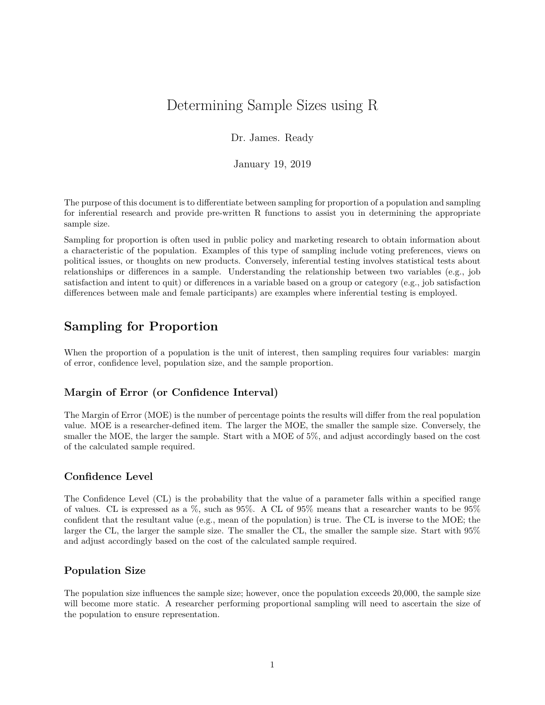# Determining Sample Sizes using R

Dr. James. Ready

January 19, 2019

The purpose of this document is to differentiate between sampling for proportion of a population and sampling for inferential research and provide pre-written R functions to assist you in determining the appropriate sample size.

Sampling for proportion is often used in public policy and marketing research to obtain information about a characteristic of the population. Examples of this type of sampling include voting preferences, views on political issues, or thoughts on new products. Conversely, inferential testing involves statistical tests about relationships or differences in a sample. Understanding the relationship between two variables (e.g., job satisfaction and intent to quit) or differences in a variable based on a group or category (e.g., job satisfaction differences between male and female participants) are examples where inferential testing is employed.

# **Sampling for Proportion**

When the proportion of a population is the unit of interest, then sampling requires four variables: margin of error, confidence level, population size, and the sample proportion.

# **Margin of Error (or Confidence Interval)**

The Margin of Error (MOE) is the number of percentage points the results will differ from the real population value. MOE is a researcher-defined item. The larger the MOE, the smaller the sample size. Conversely, the smaller the MOE, the larger the sample. Start with a MOE of 5%, and adjust accordingly based on the cost of the calculated sample required.

# **Confidence Level**

The Confidence Level (CL) is the probability that the value of a parameter falls within a specified range of values. CL is expressed as a %, such as 95%. A CL of 95% means that a researcher wants to be 95% confident that the resultant value (e.g., mean of the population) is true. The CL is inverse to the MOE; the larger the CL, the larger the sample size. The smaller the CL, the smaller the sample size. Start with 95% and adjust accordingly based on the cost of the calculated sample required.

# **Population Size**

The population size influences the sample size; however, once the population exceeds 20,000, the sample size will become more static. A researcher performing proportional sampling will need to ascertain the size of the population to ensure representation.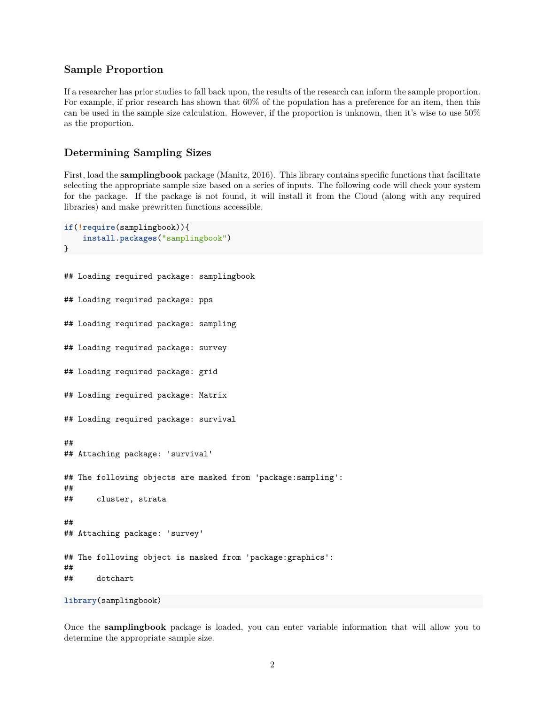## **Sample Proportion**

If a researcher has prior studies to fall back upon, the results of the research can inform the sample proportion. For example, if prior research has shown that 60% of the population has a preference for an item, then this can be used in the sample size calculation. However, if the proportion is unknown, then it's wise to use 50% as the proportion.

#### **Determining Sampling Sizes**

First, load the **samplingbook** package (Manitz, 2016). This library contains specific functions that facilitate selecting the appropriate sample size based on a series of inputs. The following code will check your system for the package. If the package is not found, it will install it from the Cloud (along with any required libraries) and make prewritten functions accessible.

```
if(!require(samplingbook)){
    install.packages("samplingbook")
}
## Loading required package: samplingbook
## Loading required package: pps
## Loading required package: sampling
## Loading required package: survey
## Loading required package: grid
## Loading required package: Matrix
## Loading required package: survival
##
## Attaching package: 'survival'
## The following objects are masked from 'package:sampling':
##
## cluster, strata
##
## Attaching package: 'survey'
## The following object is masked from 'package:graphics':
##
## dotchart
```

```
library(samplingbook)
```
Once the **samplingbook** package is loaded, you can enter variable information that will allow you to determine the appropriate sample size.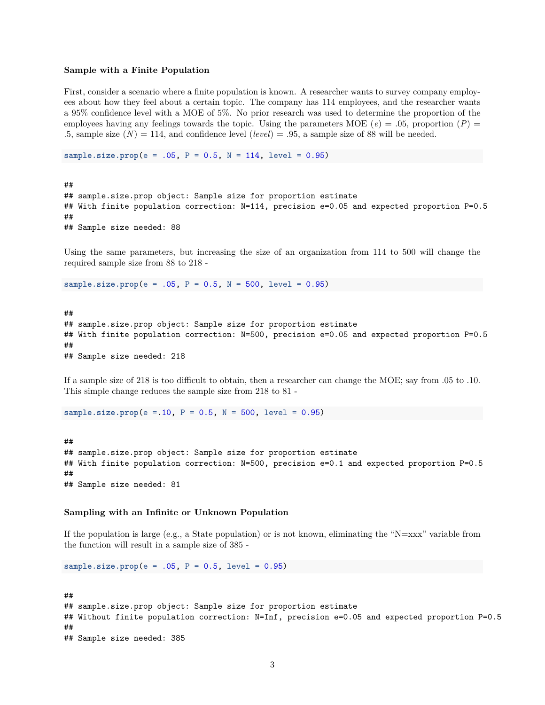#### **Sample with a Finite Population**

First, consider a scenario where a finite population is known. A researcher wants to survey company employees about how they feel about a certain topic. The company has 114 employees, and the researcher wants a 95% confidence level with a MOE of 5%. No prior research was used to determine the proportion of the employees having any feelings towards the topic. Using the parameters MOE ( $e$ ) = .05, proportion ( $P$ ) = .5, sample size  $(N) = 114$ , and confidence level  $(level) = .95$ , a sample size of 88 will be needed.

**sample.size.prop**(e = .05, P = 0.5, N = 114, level = 0.95)

## ## sample.size.prop object: Sample size for proportion estimate ## With finite population correction: N=114, precision e=0.05 and expected proportion P=0.5 ## ## Sample size needed: 88

Using the same parameters, but increasing the size of an organization from 114 to 500 will change the required sample size from 88 to 218 -

**sample.size.prop**(e = .05, P = 0.5, N = 500, level = 0.95)

## ## sample.size.prop object: Sample size for proportion estimate ## With finite population correction: N=500, precision e=0.05 and expected proportion P=0.5 ## ## Sample size needed: 218

If a sample size of 218 is too difficult to obtain, then a researcher can change the MOE; say from .05 to .10. This simple change reduces the sample size from 218 to 81 -

**sample.size.prop**(e =.10, P = 0.5, N = 500, level = 0.95)

## ## sample.size.prop object: Sample size for proportion estimate ## With finite population correction: N=500, precision e=0.1 and expected proportion P=0.5 ## ## Sample size needed: 81

#### **Sampling with an Infinite or Unknown Population**

If the population is large (e.g., a State population) or is not known, eliminating the "N=xxx" variable from the function will result in a sample size of 385 -

**sample.size.prop**(e = .05, P = 0.5, level = 0.95)

```
##
## sample.size.prop object: Sample size for proportion estimate
## Without finite population correction: N=Inf, precision e=0.05 and expected proportion P=0.5
##
## Sample size needed: 385
```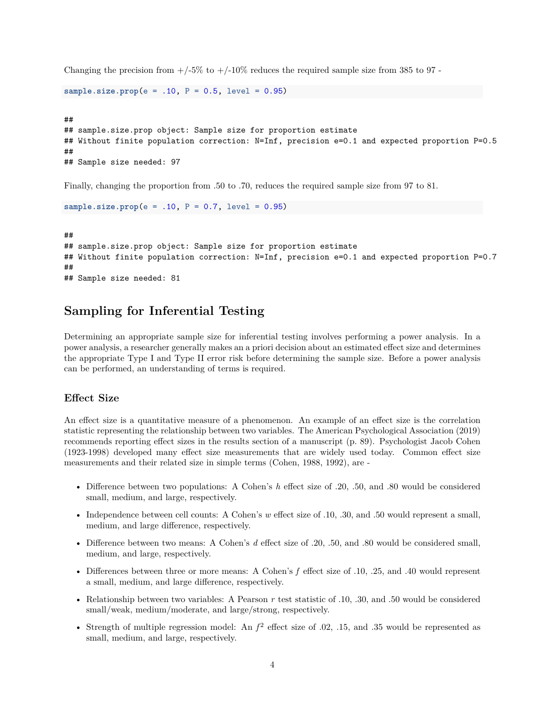Changing the precision from  $+/-5\%$  to  $+/-10\%$  reduces the required sample size from 385 to 97.

```
sample.size.prop(e = .10, P = 0.5, level = 0.95)
```

```
##
## sample.size.prop object: Sample size for proportion estimate
## Without finite population correction: N=Inf, precision e=0.1 and expected proportion P=0.5
##
## Sample size needed: 97
```
Finally, changing the proportion from .50 to .70, reduces the required sample size from 97 to 81.

**sample.size.prop**(e = .10, P = 0.7, level = 0.95)

## ## sample.size.prop object: Sample size for proportion estimate ## Without finite population correction: N=Inf, precision e=0.1 and expected proportion P=0.7 ## ## Sample size needed: 81

# **Sampling for Inferential Testing**

Determining an appropriate sample size for inferential testing involves performing a power analysis. In a power analysis, a researcher generally makes an a priori decision about an estimated effect size and determines the appropriate Type I and Type II error risk before determining the sample size. Before a power analysis can be performed, an understanding of terms is required.

### **Effect Size**

An effect size is a quantitative measure of a phenomenon. An example of an effect size is the correlation statistic representing the relationship between two variables. The American Psychological Association (2019) recommends reporting effect sizes in the results section of a manuscript (p. 89). Psychologist Jacob Cohen (1923-1998) developed many effect size measurements that are widely used today. Common effect size measurements and their related size in simple terms (Cohen, 1988, 1992), are -

- Difference between two populations: A Cohen's *h* effect size of .20, .50, and .80 would be considered small, medium, and large, respectively.
- Independence between cell counts: A Cohen's *w* effect size of .10, .30, and .50 would represent a small, medium, and large difference, respectively.
- Difference between two means: A Cohen's *d* effect size of .20, .50, and .80 would be considered small, medium, and large, respectively.
- Differences between three or more means: A Cohen's *f* effect size of .10, .25, and .40 would represent a small, medium, and large difference, respectively.
- Relationship between two variables: A Pearson *r* test statistic of .10, .30, and .50 would be considered small/weak, medium/moderate, and large/strong, respectively.
- Strength of multiple regression model: An  $f^2$  effect size of .02, .15, and .35 would be represented as small, medium, and large, respectively.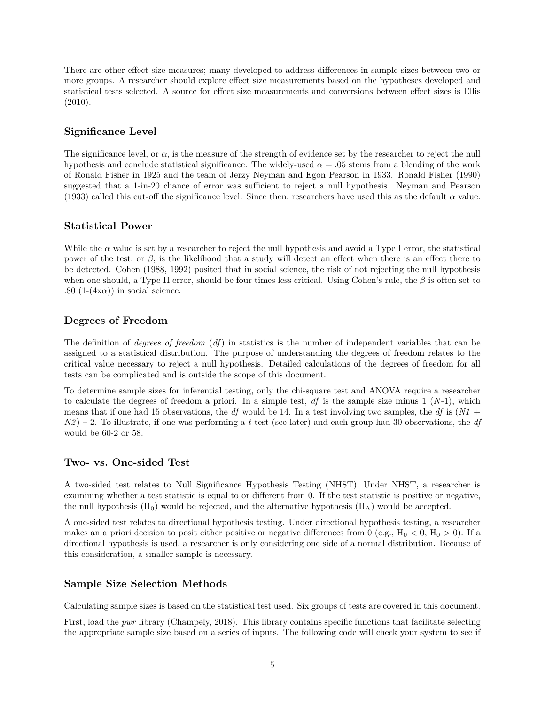There are other effect size measures; many developed to address differences in sample sizes between two or more groups. A researcher should explore effect size measurements based on the hypotheses developed and statistical tests selected. A source for effect size measurements and conversions between effect sizes is Ellis (2010).

## **Significance Level**

The significance level, or  $\alpha$ , is the measure of the strength of evidence set by the researcher to reject the null hypothesis and conclude statistical significance. The widely-used  $\alpha = 0.05$  stems from a blending of the work of Ronald Fisher in 1925 and the team of Jerzy Neyman and Egon Pearson in 1933. Ronald Fisher (1990) suggested that a 1-in-20 chance of error was sufficient to reject a null hypothesis. Neyman and Pearson (1933) called this cut-off the significance level. Since then, researchers have used this as the default *α* value.

## **Statistical Power**

While the  $\alpha$  value is set by a researcher to reject the null hypothesis and avoid a Type I error, the statistical power of the test, or *β*, is the likelihood that a study will detect an effect when there is an effect there to be detected. Cohen (1988, 1992) posited that in social science, the risk of not rejecting the null hypothesis when one should, a Type II error, should be four times less critical. Using Cohen's rule, the *β* is often set to .80  $(1-(4x\alpha))$  in social science.

# **Degrees of Freedom**

The definition of *degrees of freedom* (*df*) in statistics is the number of independent variables that can be assigned to a statistical distribution. The purpose of understanding the degrees of freedom relates to the critical value necessary to reject a null hypothesis. Detailed calculations of the degrees of freedom for all tests can be complicated and is outside the scope of this document.

To determine sample sizes for inferential testing, only the chi-square test and ANOVA require a researcher to calculate the degrees of freedom a priori. In a simple test, *df* is the sample size minus 1 (*N*-1), which means that if one had 15 observations, the *df* would be 14. In a test involving two samples, the *df* is (*N1* + *N2* ) – 2. To illustrate, if one was performing a *t*-test (see later) and each group had 30 observations, the *df* would be 60-2 or 58.

### **Two- vs. One-sided Test**

A two-sided test relates to Null Significance Hypothesis Testing (NHST). Under NHST, a researcher is examining whether a test statistic is equal to or different from 0. If the test statistic is positive or negative, the null hypothesis  $(H_0)$  would be rejected, and the alternative hypothesis  $(H_A)$  would be accepted.

A one-sided test relates to directional hypothesis testing. Under directional hypothesis testing, a researcher makes an a priori decision to posit either positive or negative differences from 0 (e.g.,  $H_0 < 0$ ,  $H_0 > 0$ ). If a directional hypothesis is used, a researcher is only considering one side of a normal distribution. Because of this consideration, a smaller sample is necessary.

# **Sample Size Selection Methods**

Calculating sample sizes is based on the statistical test used. Six groups of tests are covered in this document.

First, load the *pwr* library (Champely, 2018). This library contains specific functions that facilitate selecting the appropriate sample size based on a series of inputs. The following code will check your system to see if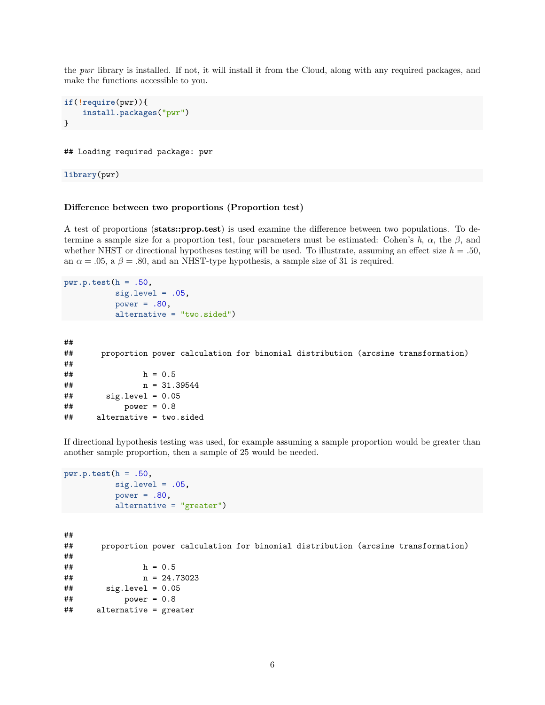the *pwr* library is installed. If not, it will install it from the Cloud, along with any required packages, and make the functions accessible to you.

```
if(!require(pwr)){
    install.packages("pwr")
}
```
#### ## Loading required package: pwr

**library**(pwr)

#### **Difference between two proportions (Proportion test)**

A test of proportions (**stats::prop.test**) is used examine the difference between two populations. To determine a sample size for a proportion test, four parameters must be estimated: Cohen's  $h$ ,  $\alpha$ , the  $\beta$ , and whether NHST or directional hypotheses testing will be used. To illustrate, assuming an effect size  $h = .50$ , an  $\alpha = .05$ , a  $\beta = .80$ , and an NHST-type hypothesis, a sample size of 31 is required.

```
pwr.p.test(h = .50,
           sig. level = .05,
           power = .80,
           alternative = "two.sided")
```

```
##
## proportion power calculation for binomial distribution (arcsine transformation)
##
## h = 0.5
## n = 31.39544
## sig.level = 0.05
## power = 0.8
## alternative = two.sided
```
If directional hypothesis testing was used, for example assuming a sample proportion would be greater than another sample proportion, then a sample of 25 would be needed.

```
pwr.p.test(h = .50,
           sig. level = .05,
           power = .80,
           alternative = "greater")
```

```
##
## proportion power calculation for binomial distribution (arcsine transformation)
##
## h = 0.5
## n = 24.73023
\## \qquad sig.level = 0.05
## power = 0.8
## alternative = greater
```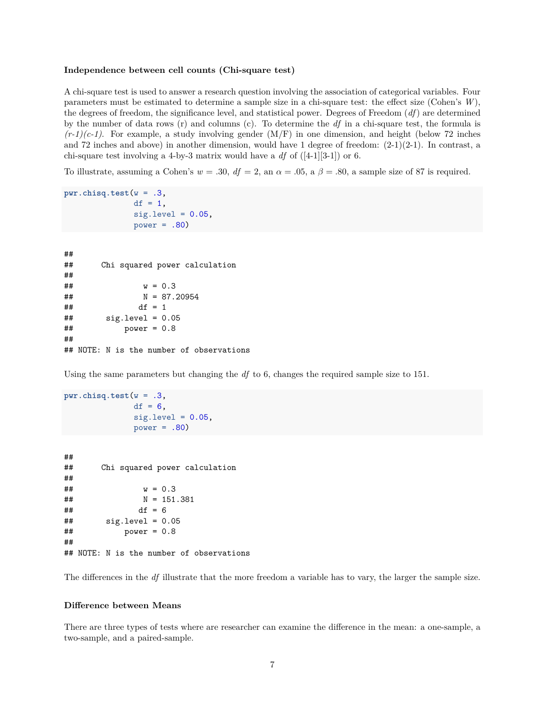#### **Independence between cell counts (Chi-square test)**

A chi-square test is used to answer a research question involving the association of categorical variables. Four parameters must be estimated to determine a sample size in a chi-square test: the effect size (Cohen's *W*), the degrees of freedom, the significance level, and statistical power. Degrees of Freedom (*df*) are determined by the number of data rows (r) and columns (c). To determine the *df* in a chi-square test, the formula is  $(r-1)(c-1)$ . For example, a study involving gender  $(M/F)$  in one dimension, and height (below 72 inches and 72 inches and above) in another dimension, would have 1 degree of freedom:  $(2-1)(2-1)$ . In contrast, a chi-square test involving a 4-by-3 matrix would have a *df* of ([4-1][3-1]) or 6.

To illustrate, assuming a Cohen's  $w = .30$ ,  $df = 2$ , an  $\alpha = .05$ ,  $\alpha \beta = .80$ , a sample size of 87 is required.

```
pwr.chisq.test(w = .3,
               df = 1,
               sig. level = 0.05,
               power = .80)
```

| ## |                                          |
|----|------------------------------------------|
| ## | Chi squared power calculation            |
| ## |                                          |
| ## | $w = 0.3$                                |
| ## | $N = 87.20954$                           |
| ## | $df = 1$                                 |
| ## | $sig.length = 0.05$                      |
| ## | power = $0.8$                            |
| ## |                                          |
|    | ## NOTE: N is the number of observations |

Using the same parameters but changing the *df* to 6, changes the required sample size to 151.

```
pwr.chisq.test(w = .3,
               df = 6,
                sig. level = 0.05,
               power = .80)
```

```
##
## Chi squared power calculation
##
## w = 0.3
## N = 151.381
## df = 6
\## \qquad sig.level = 0.05
## power = 0.8
##
## NOTE: N is the number of observations
```
The differences in the *df* illustrate that the more freedom a variable has to vary, the larger the sample size.

#### **Difference between Means**

There are three types of tests where are researcher can examine the difference in the mean: a one-sample, a two-sample, and a paired-sample.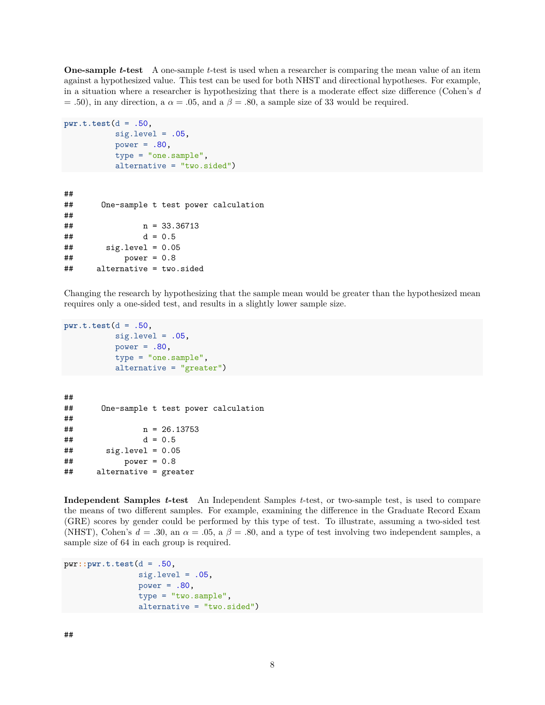**One-sample** *t***-test** A one-sample *t*-test is used when a researcher is comparing the mean value of an item against a hypothesized value. This test can be used for both NHST and directional hypotheses. For example, in a situation where a researcher is hypothesizing that there is a moderate effect size difference (Cohen's *d*  $= .50$ , in any direction, a  $\alpha = .05$ , and a  $\beta = .80$ , a sample size of 33 would be required.

```
pwr.t.test(d = .50,
           sig. level = .05,
           power = .80,
           type = "one.sample",
           alternative = "two.sided")
```

```
##
## One-sample t test power calculation
##
## n = 33.36713
## d = 0.5
## sig.level = 0.05
## power = 0.8
## alternative = two.sided
```
Changing the research by hypothesizing that the sample mean would be greater than the hypothesized mean requires only a one-sided test, and results in a slightly lower sample size.

```
pwr.t.test(d = .50,
           sig. level = .05,
           power = .80,
           type = "one.sample",
           alternative = "greater")
```

```
##
## One-sample t test power calculation
##
# n = 26.13753## d = 0.5
\## \qquad sig.level = 0.05
## power = 0.8
## alternative = greater
```
**Independent Samples** *t***-test** An Independent Samples *t*-test, or two-sample test, is used to compare the means of two different samples. For example, examining the difference in the Graduate Record Exam (GRE) scores by gender could be performed by this type of test. To illustrate, assuming a two-sided test (NHST), Cohen's  $d = .30$ , an  $\alpha = .05$ , a  $\beta = .80$ , and a type of test involving two independent samples, a sample size of 64 in each group is required.

```
pwr::pwr.t.test(d = .50,
                sig. level = .05,
                power = .80,
                type = "two.sample",
                alternative = "two.sided")
```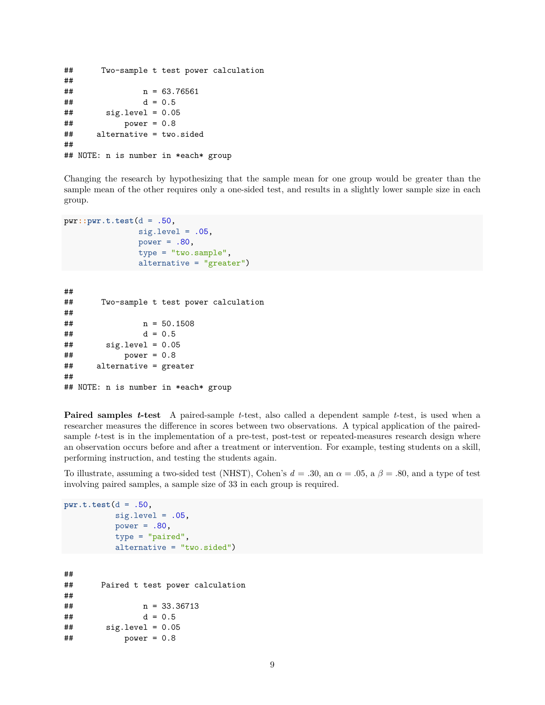```
## Two-sample t test power calculation
##
# n = 63.76561## d = 0.5
\## \qquad sig.level = 0.05
## power = 0.8
## alternative = two.sided
##
## NOTE: n is number in *each* group
```
Changing the research by hypothesizing that the sample mean for one group would be greater than the sample mean of the other requires only a one-sided test, and results in a slightly lower sample size in each group.

```
pwr::pwr.t.test(d = .50,
                sig. level = .05,
                power = .80,
                type = "two.sample",
                alternative = "greater")
```

```
##
## Two-sample t test power calculation
##
## n = 50.1508
## d = 0.5
\## sig.length = 0.05## power = 0.8
## alternative = greater
##
## NOTE: n is number in *each* group
```
**Paired samples** *t***-test** A paired-sample *t*-test, also called a dependent sample *t*-test, is used when a researcher measures the difference in scores between two observations. A typical application of the pairedsample *t*-test is in the implementation of a pre-test, post-test or repeated-measures research design where an observation occurs before and after a treatment or intervention. For example, testing students on a skill, performing instruction, and testing the students again.

To illustrate, assuming a two-sided test (NHST), Cohen's  $d = .30$ , an  $\alpha = .05$ , a  $\beta = .80$ , and a type of test involving paired samples, a sample size of 33 in each group is required.

```
pwr.t.test(d = .50,
         sig. level = .05,power = .80,
         type = "paired",
         alternative = "two.sided")
##
## Paired t test power calculation
##
## n = 33.36713
## d = 0.5
\## sig.length = 0.05## power = 0.8
```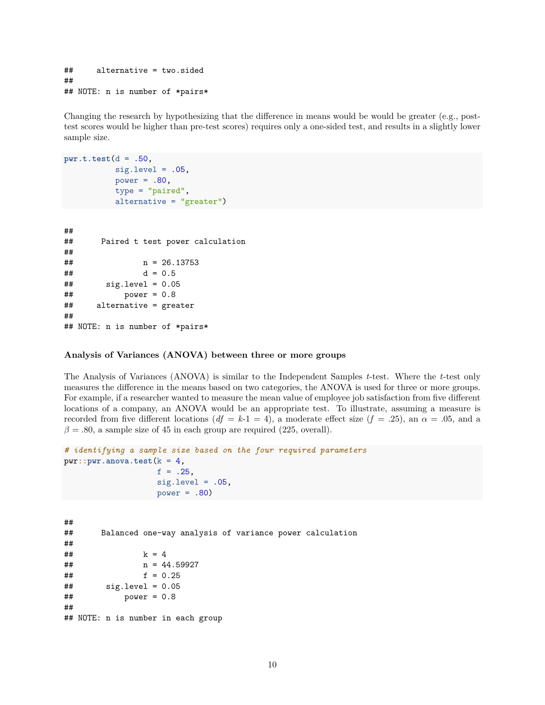```
## alternative = two.sided
##
## NOTE: n is number of *pairs*
```
Changing the research by hypothesizing that the difference in means would be would be greater (e.g., posttest scores would be higher than pre-test scores) requires only a one-sided test, and results in a slightly lower sample size.

```
pwr.t.test(d = .50,
           sig. level = .05,
           power = .80,
           type = "paired",
           alternative = "greater")
```

```
##
## Paired t test power calculation
##
# n = 26.13753## d = 0.5
## sig.level = 0.05
## power = 0.8
## alternative = greater
##
## NOTE: n is number of *pairs*
```
#### **Analysis of Variances (ANOVA) between three or more groups**

The Analysis of Variances (ANOVA) is similar to the Independent Samples *t*-test. Where the *t*-test only measures the difference in the means based on two categories, the ANOVA is used for three or more groups. For example, if a researcher wanted to measure the mean value of employee job satisfaction from five different locations of a company, an ANOVA would be an appropriate test. To illustrate, assuming a measure is recorded from five different locations ( $df = k-1 = 4$ ), a moderate effect size ( $f = .25$ ), an  $\alpha = .05$ , and a  $\beta = .80$ , a sample size of 45 in each group are required (225, overall).

```
# identifying a sample size based on the four required parameters
pwr::pwr.anova.test(k = 4,
                    f = .25,
                    sig. level = .05,
                    power = .80)
```

```
##
## Balanced one-way analysis of variance power calculation
##
## k = 4
## n = 44.59927
## f = 0.25
\## \qquad sig.level = 0.05
## power = 0.8
##
## NOTE: n is number in each group
```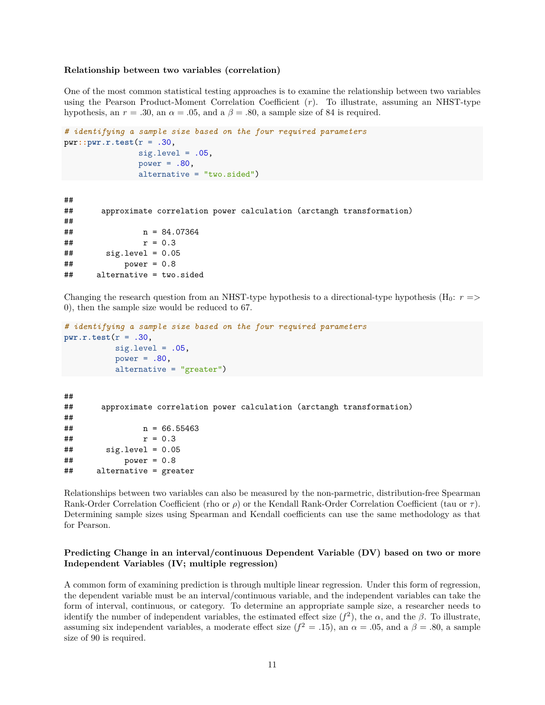#### **Relationship between two variables (correlation)**

One of the most common statistical testing approaches is to examine the relationship between two variables using the Pearson Product-Moment Correlation Coefficient (*r*). To illustrate, assuming an NHST-type hypothesis, an  $r = .30$ , an  $\alpha = .05$ , and a  $\beta = .80$ , a sample size of 84 is required.

```
# identifying a sample size based on the four required parameters
pwr::pwr.r.test(r = .30,
                sig. level = .05,
                power = .80,
                alternative = "two.sided")
##
## approximate correlation power calculation (arctangh transformation)
##
```
## n = 84.07364  $##$   $r = 0.3$ ## sig.level = 0.05 ## power = 0.8 ## alternative = two.sided

Changing the research question from an NHST-type hypothesis to a directional-type hypothesis  $(H_0: r =$ 0), then the sample size would be reduced to 67.

```
# identifying a sample size based on the four required parameters
pwr.r.test(r = .30,
           sig. level = .05,
           power = .80,
           alternative = "greater")
```

```
##
## approximate correlation power calculation (arctangh transformation)
##
# # n = 66.55463## r = 0.3## sig.level = 0.05
## power = 0.8
## alternative = greater
```
Relationships between two variables can also be measured by the non-parmetric, distribution-free Spearman Rank-Order Correlation Coefficient (rho or *ρ*) or the Kendall Rank-Order Correlation Coefficient (tau or *τ* ). Determining sample sizes using Spearman and Kendall coefficients can use the same methodology as that for Pearson.

#### **Predicting Change in an interval/continuous Dependent Variable (DV) based on two or more Independent Variables (IV; multiple regression)**

A common form of examining prediction is through multiple linear regression. Under this form of regression, the dependent variable must be an interval/continuous variable, and the independent variables can take the form of interval, continuous, or category. To determine an appropriate sample size, a researcher needs to identify the number of independent variables, the estimated effect size  $(f^2)$ , the  $\alpha$ , and the  $\beta$ . To illustrate, assuming six independent variables, a moderate effect size  $(f^2 = .15)$ , an  $\alpha = .05$ , and a  $\beta = .80$ , a sample size of 90 is required.